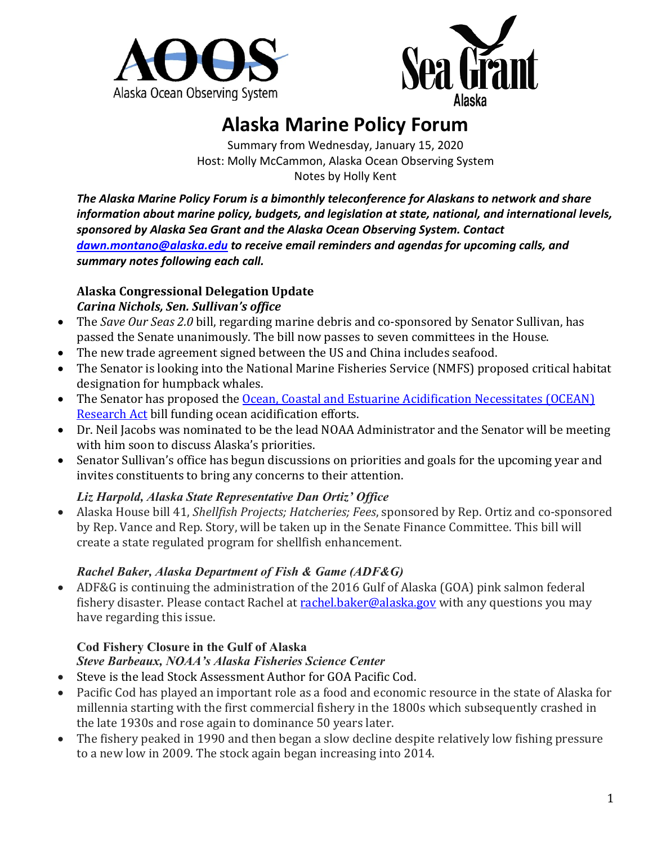



# **Alaska Marine Policy Forum**

Summary from Wednesday, January 15, 2020 Host: Molly McCammon, Alaska Ocean Observing System Notes by Holly Kent

*The Alaska Marine Policy Forum is a bimonthly teleconference for Alaskans to network and share information about marine policy, budgets, and legislation at state, national, and international levels, sponsored by Alaska Sea Grant and the Alaska Ocean Observing System. Contact [dawn.montano@alaska.edu](mailto:dawn.montano@alaska.edu) to receive email reminders and agendas for upcoming calls, and summary notes following each call.* 

#### **Alaska Congressional Delegation Update** *Carina Nichols, Sen. Sullivan's office*

- The *Save Our Seas 2.0* bill, regarding marine debris and co-sponsored by Senator Sullivan, has passed the Senate unanimously. The bill now passes to seven committees in the House.
- The new trade agreement signed between the US and China includes seafood.
- The Senator is looking into the National Marine Fisheries Service (NMFS) proposed critical habitat designation for humpback whales.
- The Senator has proposed the Ocean, Coastal and Estuarine Acidification Necessitates (OCEAN) [Research Act](https://www.sullivan.senate.gov/newsroom/press-releases/senators-sullivan-and-markey-introduce-bipartisan-legislation-to-improve-the-health-of-oceans) bill funding ocean acidification efforts.
- Dr. Neil Jacobs was nominated to be the lead NOAA Administrator and the Senator will be meeting with him soon to discuss Alaska's priorities.
- Senator Sullivan's office has begun discussions on priorities and goals for the upcoming year and invites constituents to bring any concerns to their attention.

### *Liz Harpold, Alaska State Representative Dan Ortiz' Office*

• Alaska House bill 41, *Shellfish Projects; Hatcheries; Fees*, sponsored by Rep. Ortiz and co-sponsored by Rep. Vance and Rep. Story, will be taken up in the Senate Finance Committee. This bill will create a state regulated program for shellfish enhancement.

### *Rachel Baker, Alaska Department of Fish & Game (ADF&G)*

• ADF&G is continuing the administration of the 2016 Gulf of Alaska (GOA) pink salmon federal fishery disaster. Please contact Rachel a[t rachel.baker@alaska.gov](mailto:rachel.baker@alaska.gov) with any questions you may have regarding this issue.

### **Cod Fishery Closure in the Gulf of Alaska**

### *Steve Barbeaux, NOAA's Alaska Fisheries Science Center*

- Steve is the lead Stock Assessment Author for GOA Pacific Cod.
- Pacific Cod has played an important role as a food and economic resource in the state of Alaska for millennia starting with the first commercial fishery in the 1800s which subsequently crashed in the late 1930s and rose again to dominance 50 years later.
- The fishery peaked in 1990 and then began a slow decline despite relatively low fishing pressure to a new low in 2009. The stock again began increasing into 2014.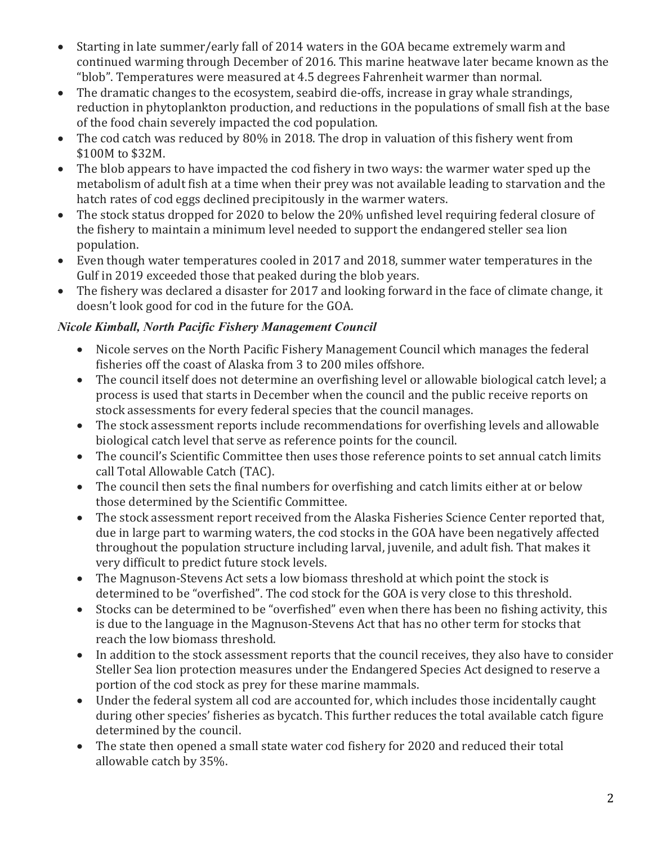- Starting in late summer/early fall of 2014 waters in the GOA became extremely warm and continued warming through December of 2016. This marine heatwave later became known as the "blob". Temperatures were measured at 4.5 degrees Fahrenheit warmer than normal.
- The dramatic changes to the ecosystem, seabird die-offs, increase in gray whale strandings, reduction in phytoplankton production, and reductions in the populations of small fish at the base of the food chain severely impacted the cod population.
- The cod catch was reduced by 80% in 2018. The drop in valuation of this fishery went from \$100M to \$32M.
- The blob appears to have impacted the cod fishery in two ways: the warmer water sped up the metabolism of adult fish at a time when their prey was not available leading to starvation and the hatch rates of cod eggs declined precipitously in the warmer waters.
- The stock status dropped for 2020 to below the 20% unfished level requiring federal closure of the fishery to maintain a minimum level needed to support the endangered steller sea lion population.
- Even though water temperatures cooled in 2017 and 2018, summer water temperatures in the Gulf in 2019 exceeded those that peaked during the blob years.
- The fishery was declared a disaster for 2017 and looking forward in the face of climate change, it doesn't look good for cod in the future for the GOA.

## *Nicole Kimball, North Pacific Fishery Management Council*

- Nicole serves on the North Pacific Fishery Management Council which manages the federal fisheries off the coast of Alaska from 3 to 200 miles offshore.
- The council itself does not determine an overfishing level or allowable biological catch level; a process is used that starts in December when the council and the public receive reports on stock assessments for every federal species that the council manages.
- The stock assessment reports include recommendations for overfishing levels and allowable biological catch level that serve as reference points for the council.
- The council's Scientific Committee then uses those reference points to set annual catch limits call Total Allowable Catch (TAC).
- The council then sets the final numbers for overfishing and catch limits either at or below those determined by the Scientific Committee.
- The stock assessment report received from the Alaska Fisheries Science Center reported that, due in large part to warming waters, the cod stocks in the GOA have been negatively affected throughout the population structure including larval, juvenile, and adult fish. That makes it very difficult to predict future stock levels.
- The Magnuson-Stevens Act sets a low biomass threshold at which point the stock is determined to be "overfished". The cod stock for the GOA is very close to this threshold.
- Stocks can be determined to be "overfished" even when there has been no fishing activity, this is due to the language in the Magnuson-Stevens Act that has no other term for stocks that reach the low biomass threshold.
- In addition to the stock assessment reports that the council receives, they also have to consider Steller Sea lion protection measures under the Endangered Species Act designed to reserve a portion of the cod stock as prey for these marine mammals.
- Under the federal system all cod are accounted for, which includes those incidentally caught during other species' fisheries as bycatch. This further reduces the total available catch figure determined by the council.
- The state then opened a small state water cod fishery for 2020 and reduced their total allowable catch by 35%.